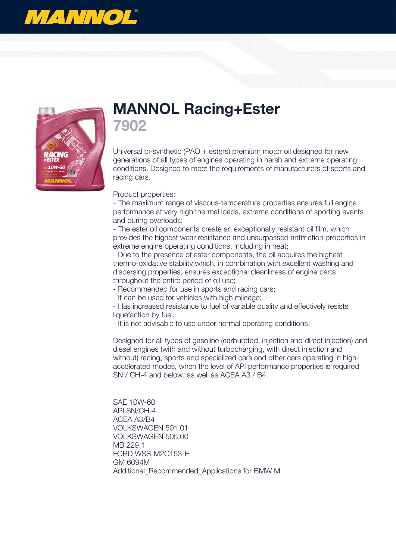



## **MANNOL Racing+Ester 7902**

Universal bi-synthetic (PAO + esters) premium motor oil designed for new generations of all types of engines operating in harsh and extreme operating conditions. Designed to meet the requirements of manufacturers of sports and racing cars.

Product properties:

- The maximum range of viscous-temperature properties ensures full engine performance at very high thermal loads, extreme conditions of sporting events and during overloads;

- The ester oil components create an exceptionally resistant oil film, which provides the highest wear resistance and unsurpassed antifriction properties in extreme engine operating conditions, including in heat;

- Due to the presence of ester components, the oil acquires the highest thermo-oxidative stability which, in combination with excellent washing and dispersing properties, ensures exceptional cleanliness of engine parts throughout the entire period of oil use;

- Recommended for use in sports and racing cars;

- It can be used for vehicles with high mileage;

- Has increased resistance to fuel of variable quality and effectively resists liquefaction by fuel;

- It is not advisable to use under normal operating conditions.

Designed for all types of gasoline (carbureted, injection and direct injection) and diesel engines (with and without turbocharging, with direct injection and without) racing, sports and specialized cars and other cars operating in highaccelerated modes, when the level of API performance properties is required SN / CH-4 and below, as well as ACEA A3 / B4.

SAE 10W-60 API SN/CH-4 ACEA A3/B4 VOLKSWAGEN 501.01 VOLKSWAGEN 505.00 MB 229.1 FORD WSS-M2C153-E GM 6094M Additional\_Recommended\_Applications for BMW M